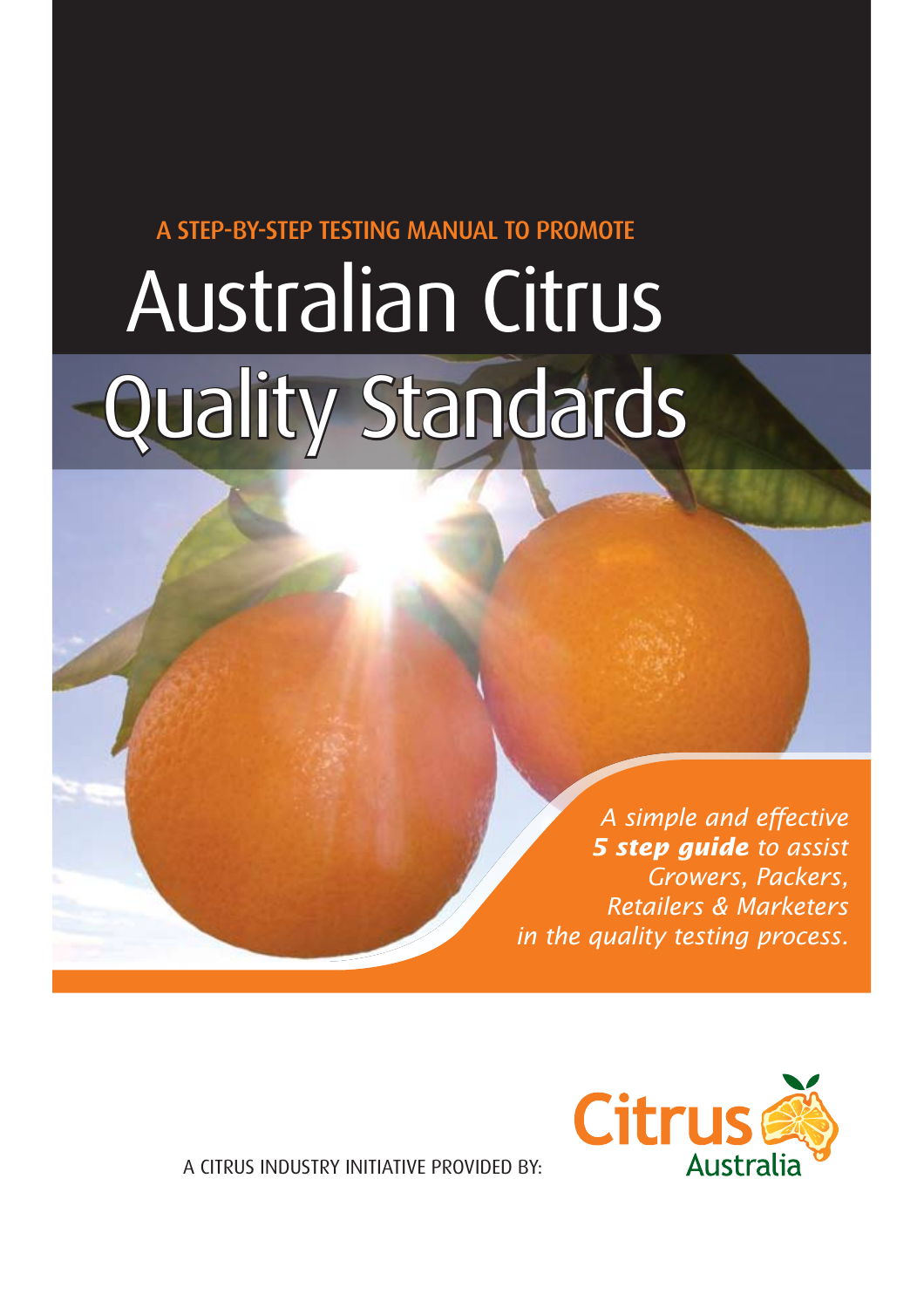A STEP-BY-STEP TESTING MANUAL TO PROMOTE

# Australian Citrus Quality Standards

*A simple and effective 5 step guide to assist Growers, Packers, Retailers & Marketers in the quality testing process.*



A CITRUS INDUSTRY INITIATIVE PROVIDED BY: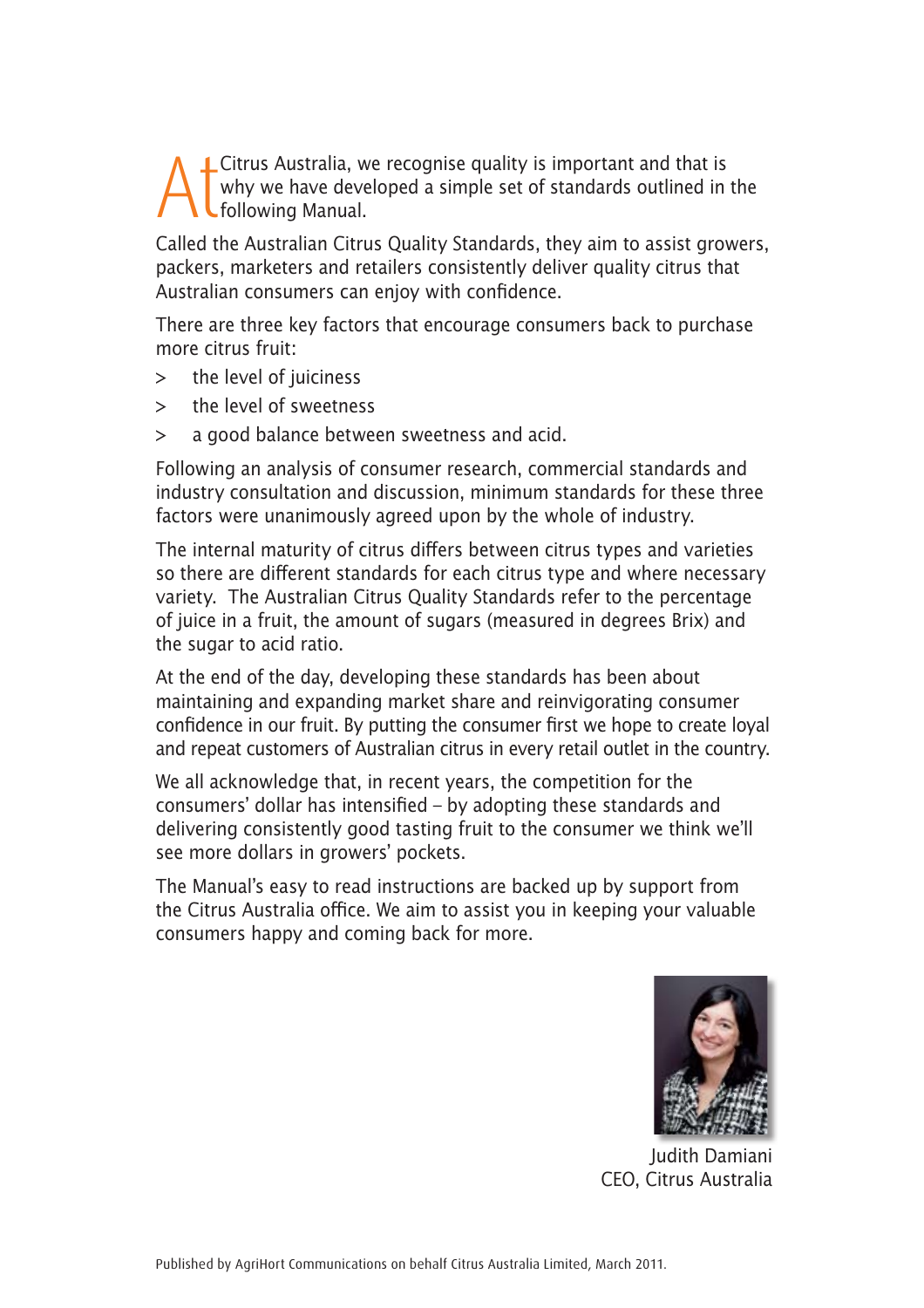AtCitrus Australia, we recognise quality is important and that is<br>following Manual.<br>Following Manual. why we have developed a simple set of standards outlined in the following Manual.

Called the Australian Citrus Quality Standards, they aim to assist growers, packers, marketers and retailers consistently deliver quality citrus that Australian consumers can enjoy with confidence.

There are three key factors that encourage consumers back to purchase more citrus fruit:

- > the level of juiciness
- > the level of sweetness
- > a good balance between sweetness and acid.

Following an analysis of consumer research, commercial standards and industry consultation and discussion, minimum standards for these three factors were unanimously agreed upon by the whole of industry.

The internal maturity of citrus differs between citrus types and varieties so there are different standards for each citrus type and where necessary variety. The Australian Citrus Quality Standards refer to the percentage of juice in a fruit, the amount of sugars (measured in degrees Brix) and the sugar to acid ratio.

At the end of the day, developing these standards has been about maintaining and expanding market share and reinvigorating consumer confidence in our fruit. By putting the consumer first we hope to create loyal and repeat customers of Australian citrus in every retail outlet in the country.

We all acknowledge that, in recent years, the competition for the consumers' dollar has intensified – by adopting these standards and delivering consistently good tasting fruit to the consumer we think we'll see more dollars in growers' pockets.

The Manual's easy to read instructions are backed up by support from the Citrus Australia office. We aim to assist you in keeping your valuable consumers happy and coming back for more.



Judith Damiani CEO, Citrus Australia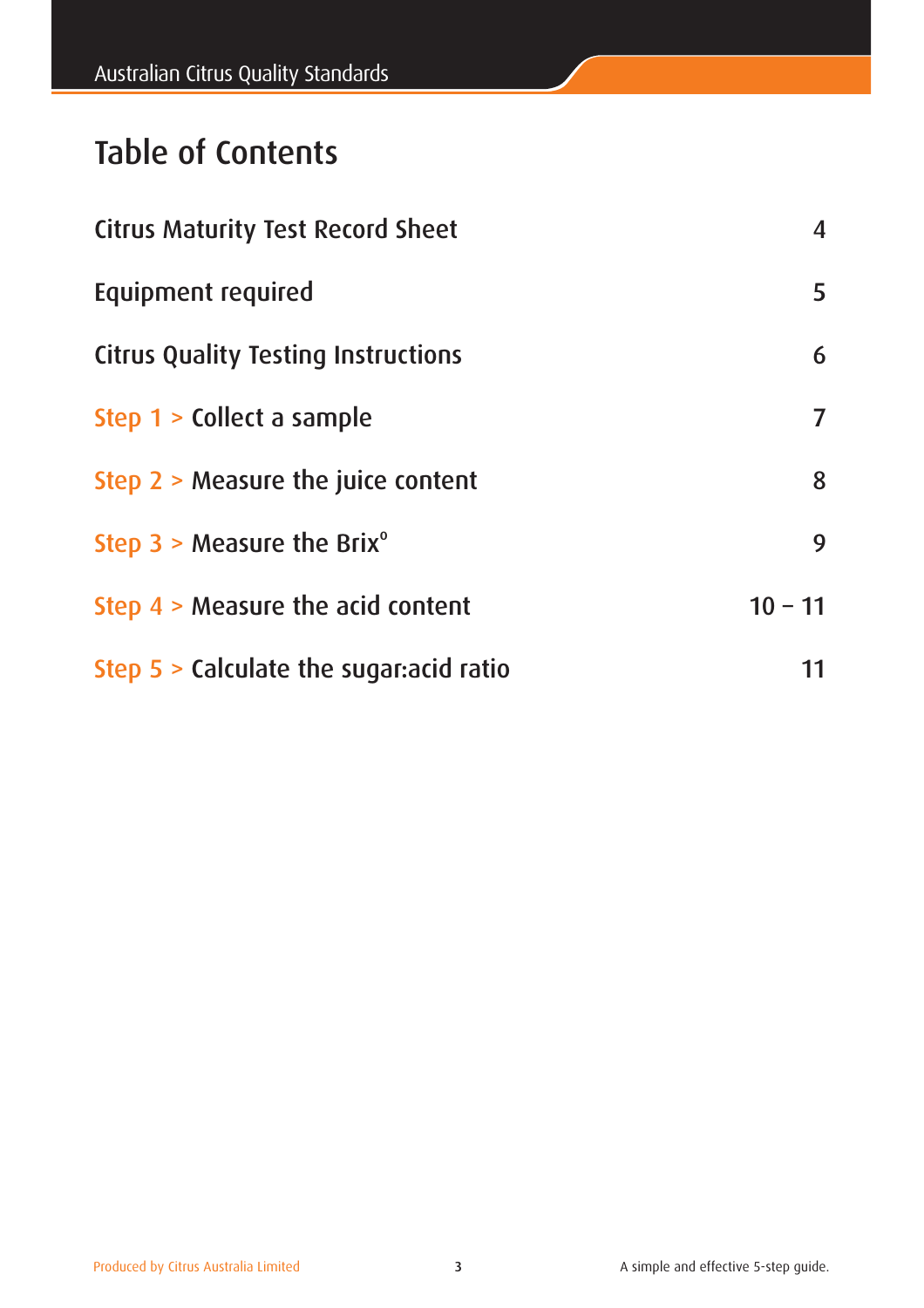# Table of Contents

| <b>Citrus Maturity Test Record Sheet</b>   | $\overline{\mathbf{4}}$ |
|--------------------------------------------|-------------------------|
| Equipment required                         | 5                       |
| <b>Citrus Quality Testing Instructions</b> | 6                       |
| Step 1 > Collect a sample                  | $\overline{ }$          |
| Step $2 >$ Measure the juice content       | 8                       |
| Step $3 >$ Measure the Brix <sup>o</sup>   | 9                       |
| Step $4 >$ Measure the acid content        | $10 - 11$               |
| Step $5 >$ Calculate the sugar: acid ratio | 11                      |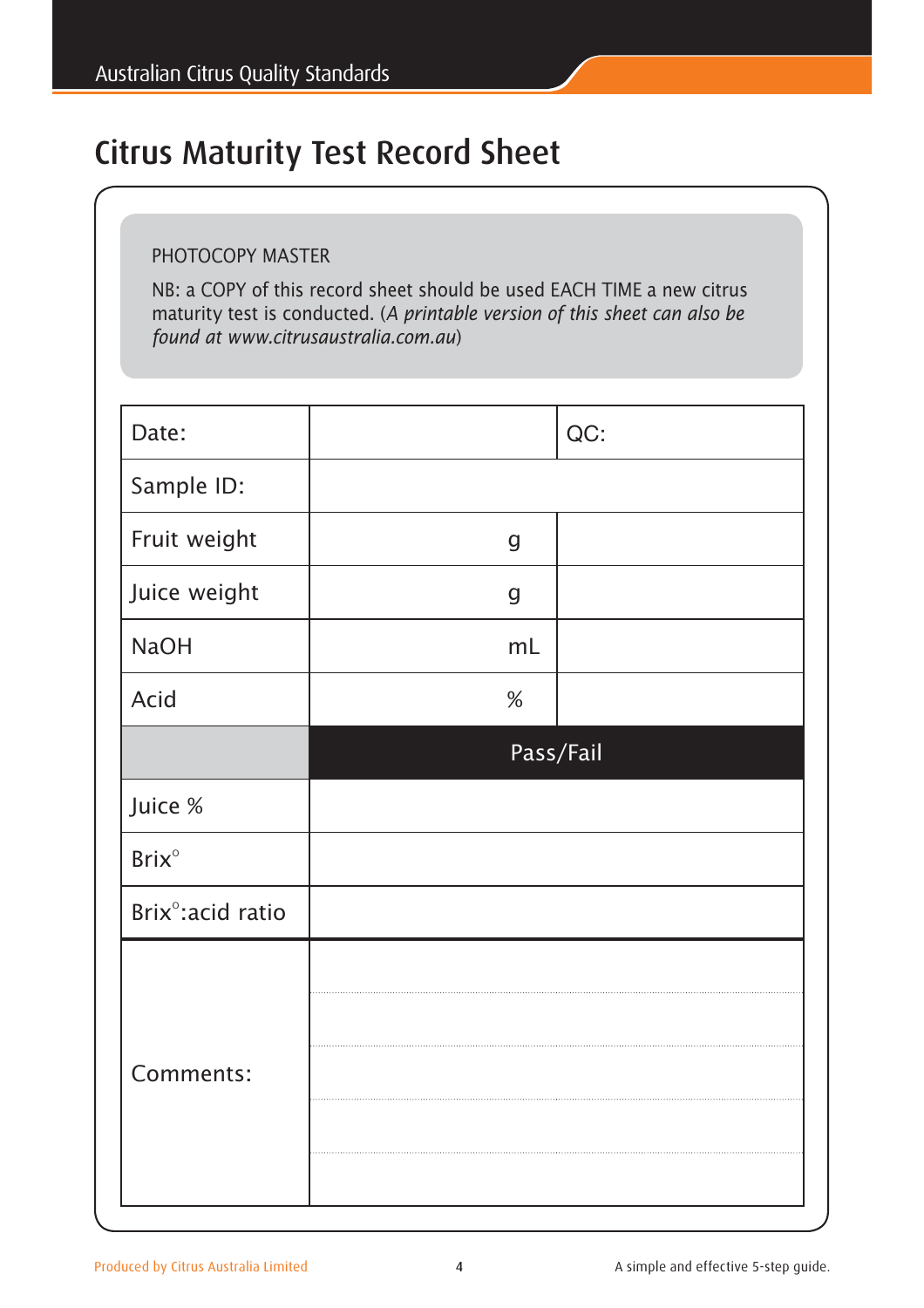# Citrus Maturity Test Record Sheet

#### PHOTOCOPY MASTER

NB: a COPY of this record sheet should be used EACH TIME a new citrus maturity test is conducted. (*A printable version of this sheet can also be found at www.citrusaustralia.com.au*)

| Date:                          |                  | QC:       |
|--------------------------------|------------------|-----------|
| Sample ID:                     |                  |           |
| Fruit weight                   | $\mathsf g$      |           |
| Juice weight                   | $\boldsymbol{g}$ |           |
| <b>NaOH</b>                    | mL               |           |
| Acid                           | $\%$             |           |
|                                |                  | Pass/Fail |
| Juice %                        |                  |           |
| <b>Brix</b> °                  |                  |           |
| Brix <sup>o</sup> : acid ratio |                  |           |
|                                |                  |           |
|                                |                  |           |
| Comments:                      |                  |           |
|                                |                  |           |
|                                |                  |           |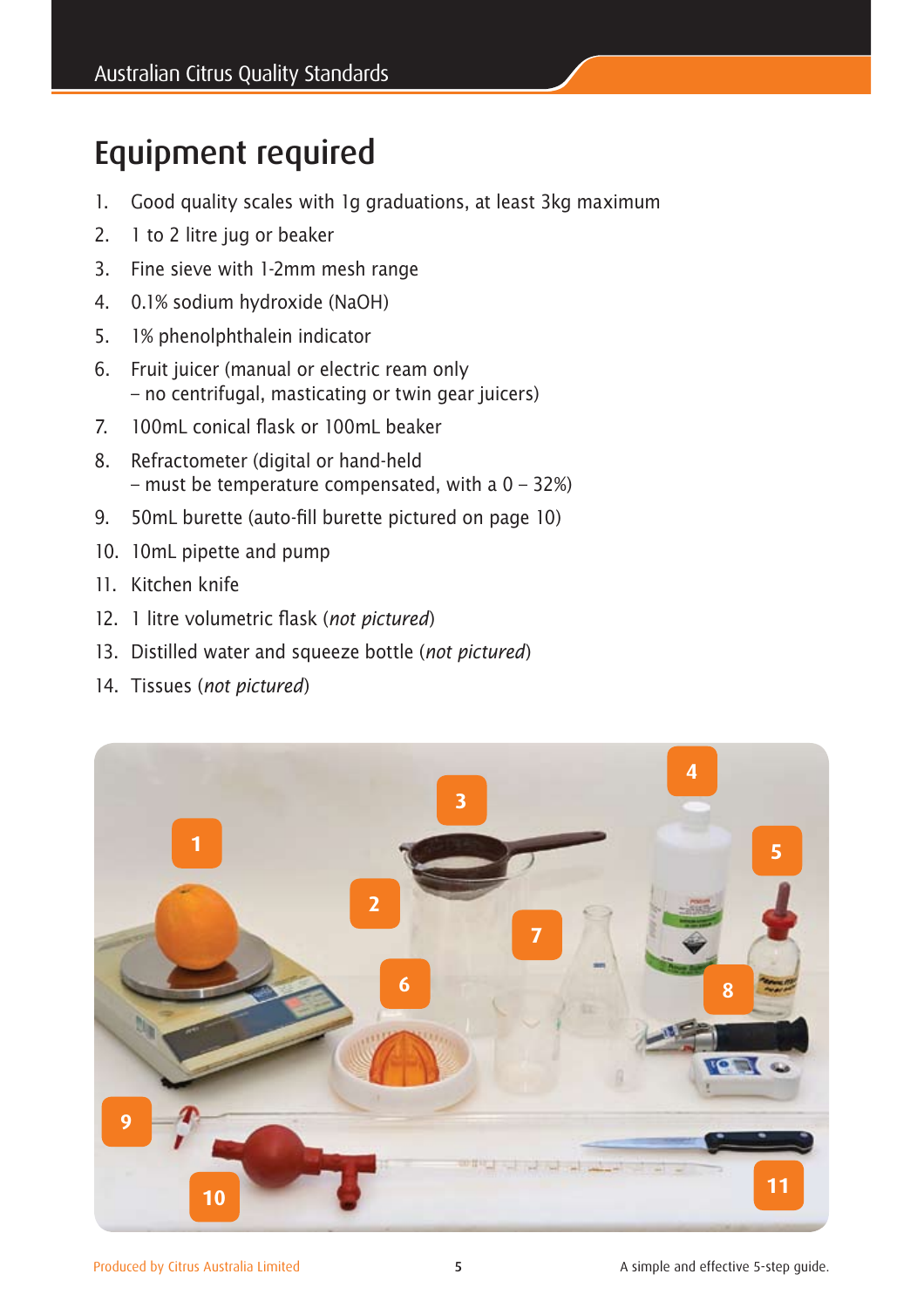# Equipment required

- 1. Good quality scales with 1g graduations, at least 3kg maximum
- 2. 1 to 2 litre jug or beaker
- 3. Fine sieve with 1-2mm mesh range
- 4. 0.1% sodium hydroxide (NaOH)
- 5. 1% phenolphthalein indicator
- 6. Fruit juicer (manual or electric ream only – no centrifugal, masticating or twin gear juicers)
- 7. 100mL conical flask or 100mL beaker
- 8. Refractometer (digital or hand-held – must be temperature compensated, with a  $0 - 32%$
- 9. 50mL burette (auto-fill burette pictured on page 10)
- 10. 10mL pipette and pump
- 11. Kitchen knife
- 12. 1 litre volumetric flask (*not pictured*)
- 13. Distilled water and squeeze bottle (*not pictured*)
- 14. Tissues (*not pictured*)

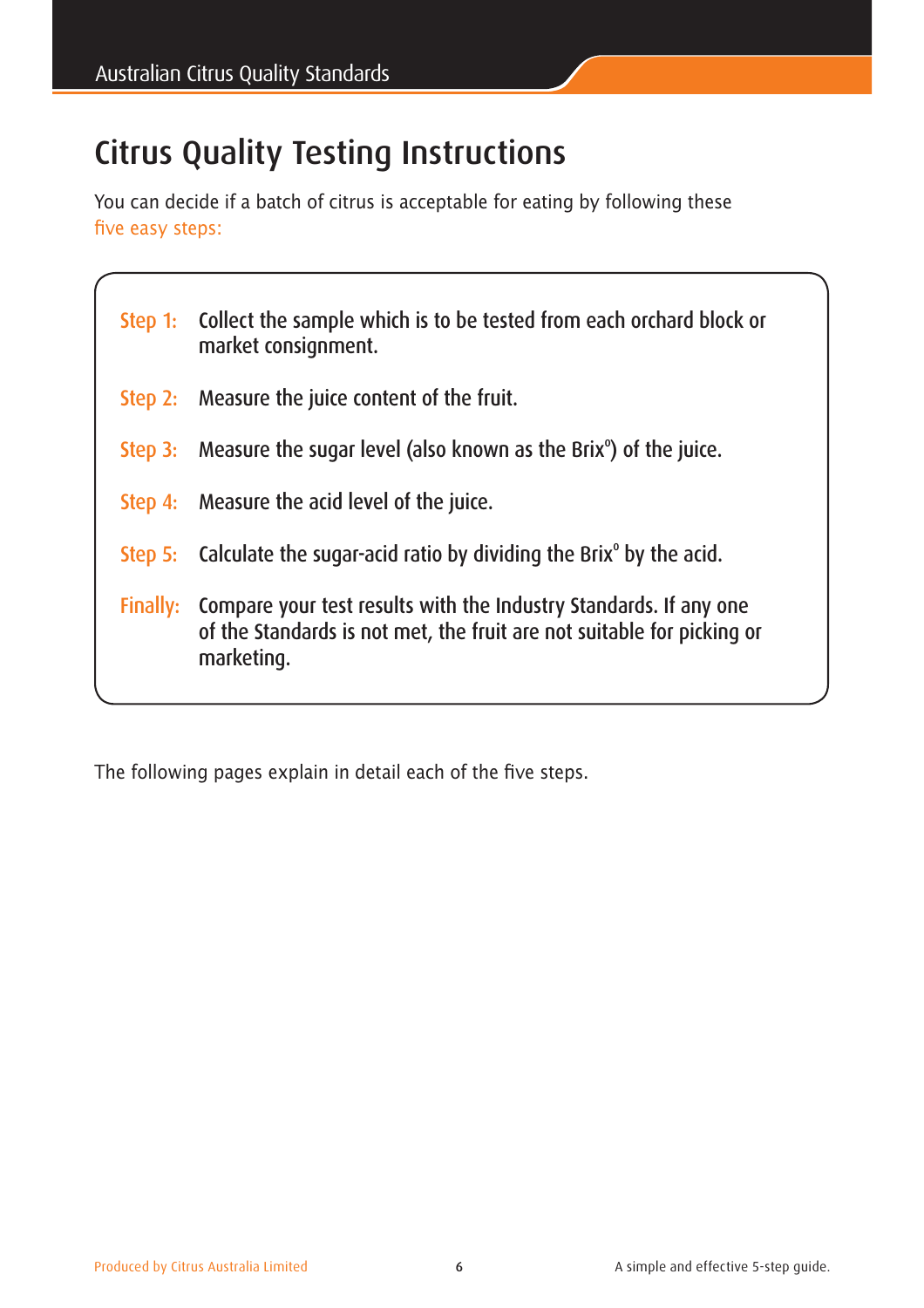# Citrus Quality Testing Instructions

You can decide if a batch of citrus is acceptable for eating by following these five easy steps:

|          | Step 1: Collect the sample which is to be tested from each orchard block or<br>market consignment.                                                        |
|----------|-----------------------------------------------------------------------------------------------------------------------------------------------------------|
|          | Step 2: Measure the juice content of the fruit.                                                                                                           |
|          | Step 3: Measure the sugar level (also known as the Brix <sup>o</sup> ) of the juice.                                                                      |
|          | Step 4: Measure the acid level of the juice.                                                                                                              |
|          | Step 5: Calculate the sugar-acid ratio by dividing the Brix $\degree$ by the acid.                                                                        |
| Finally: | Compare your test results with the Industry Standards. If any one<br>of the Standards is not met, the fruit are not suitable for picking or<br>marketing. |

The following pages explain in detail each of the five steps.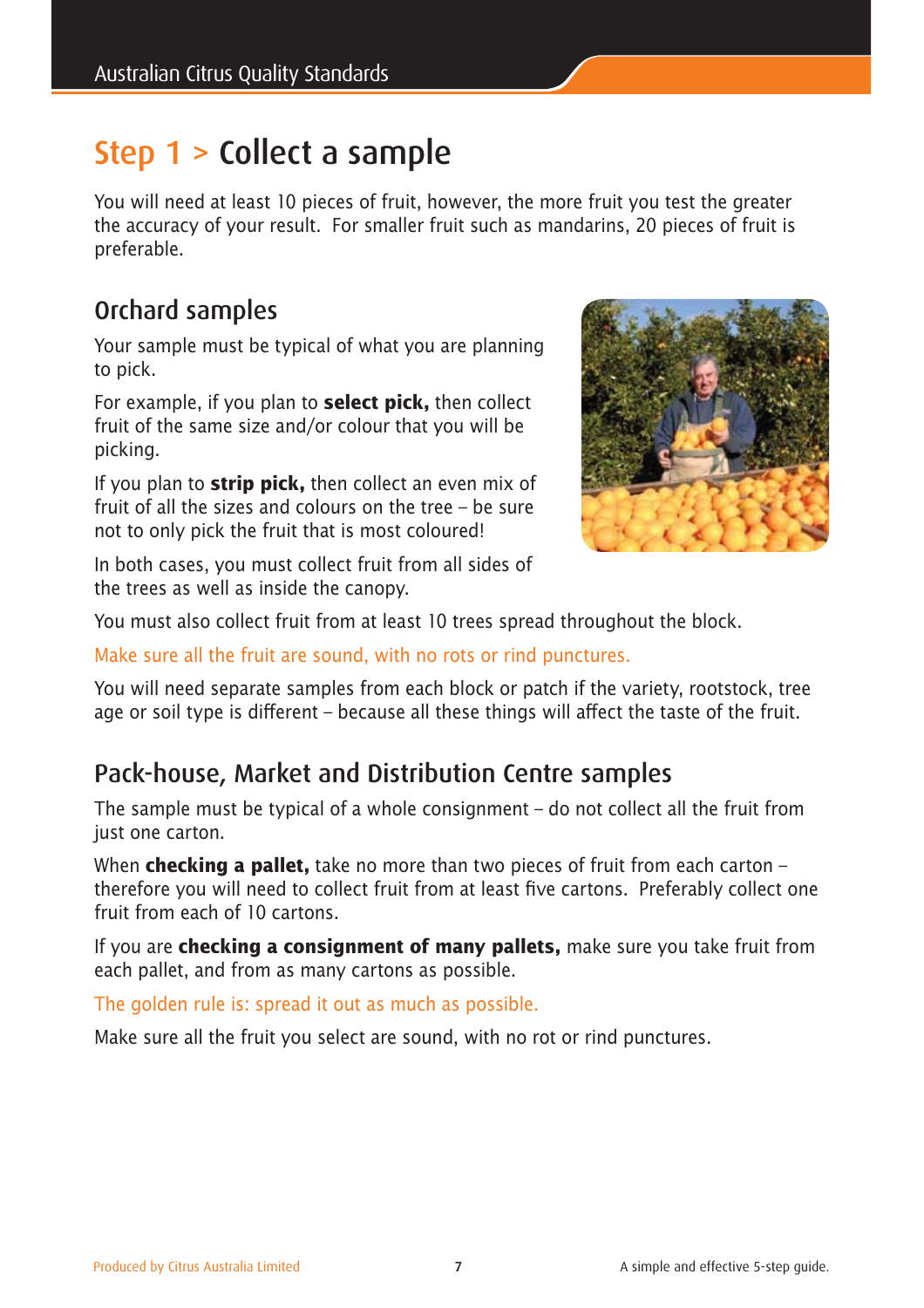# Step 1 > Collect a sample

You will need at least 10 pieces of fruit, however, the more fruit you test the greater the accuracy of your result. For smaller fruit such as mandarins, 20 pieces of fruit is preferable.

## Orchard samples

Your sample must be typical of what you are planning to pick.

For example, if you plan to **select pick,** then collect fruit of the same size and/or colour that you will be picking.

If you plan to **strip pick,** then collect an even mix of fruit of all the sizes and colours on the tree – be sure not to only pick the fruit that is most coloured!



In both cases, you must collect fruit from all sides of the trees as well as inside the canopy.

You must also collect fruit from at least 10 trees spread throughout the block.

Make sure all the fruit are sound, with no rots or rind punctures.

You will need separate samples from each block or patch if the variety, rootstock, tree age or soil type is different – because all these things will affect the taste of the fruit.

## Pack-house, Market and Distribution Centre samples

The sample must be typical of a whole consignment – do not collect all the fruit from just one carton.

When **checking a pallet,** take no more than two pieces of fruit from each carton – therefore you will need to collect fruit from at least five cartons. Preferably collect one fruit from each of 10 cartons.

If you are **checking a consignment of many pallets,** make sure you take fruit from each pallet, and from as many cartons as possible.

The golden rule is: spread it out as much as possible.

Make sure all the fruit you select are sound, with no rot or rind punctures.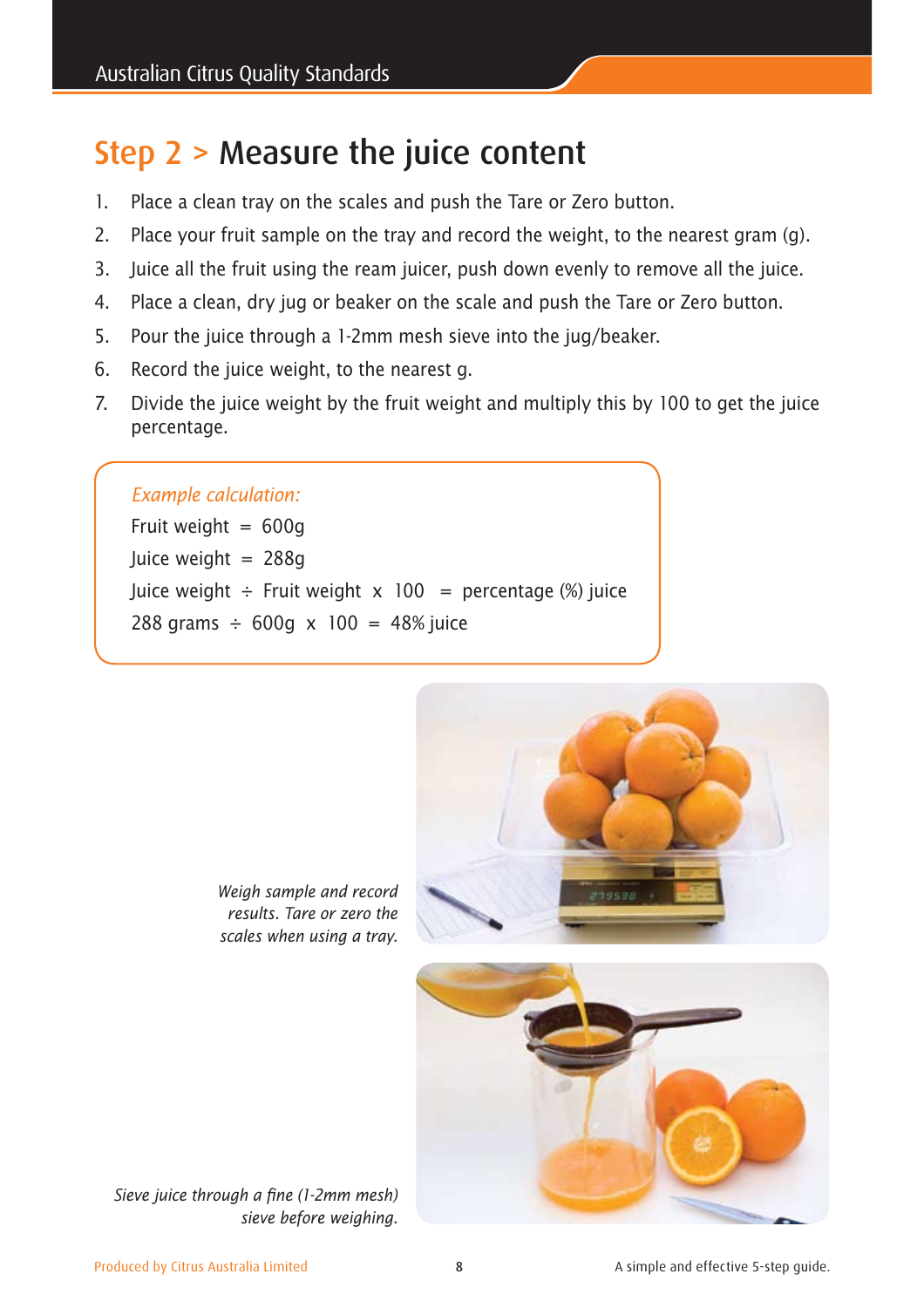# Step 2 > Measure the juice content

- 1. Place a clean tray on the scales and push the Tare or Zero button.
- 2. Place your fruit sample on the tray and record the weight, to the nearest gram (g).
- 3. Juice all the fruit using the ream juicer, push down evenly to remove all the juice.
- 4. Place a clean, dry jug or beaker on the scale and push the Tare or Zero button.
- 5. Pour the juice through a 1-2mm mesh sieve into the jug/beaker.
- 6. Record the juice weight, to the nearest g.
- 7. Divide the juice weight by the fruit weight and multiply this by 100 to get the juice percentage.

#### *Example calculation:*

Fruit weight  $= 600q$ Juice weight = 288g Juice weight  $\div$  Fruit weight  $x$  100 = percentage (%) juice 288 grams  $\div$  600g x 100 = 48% juice



*Weigh sample and record results. Tare or zero the scales when using a tray.*



*Sieve juice through a fine (1-2mm mesh) sieve before weighing.*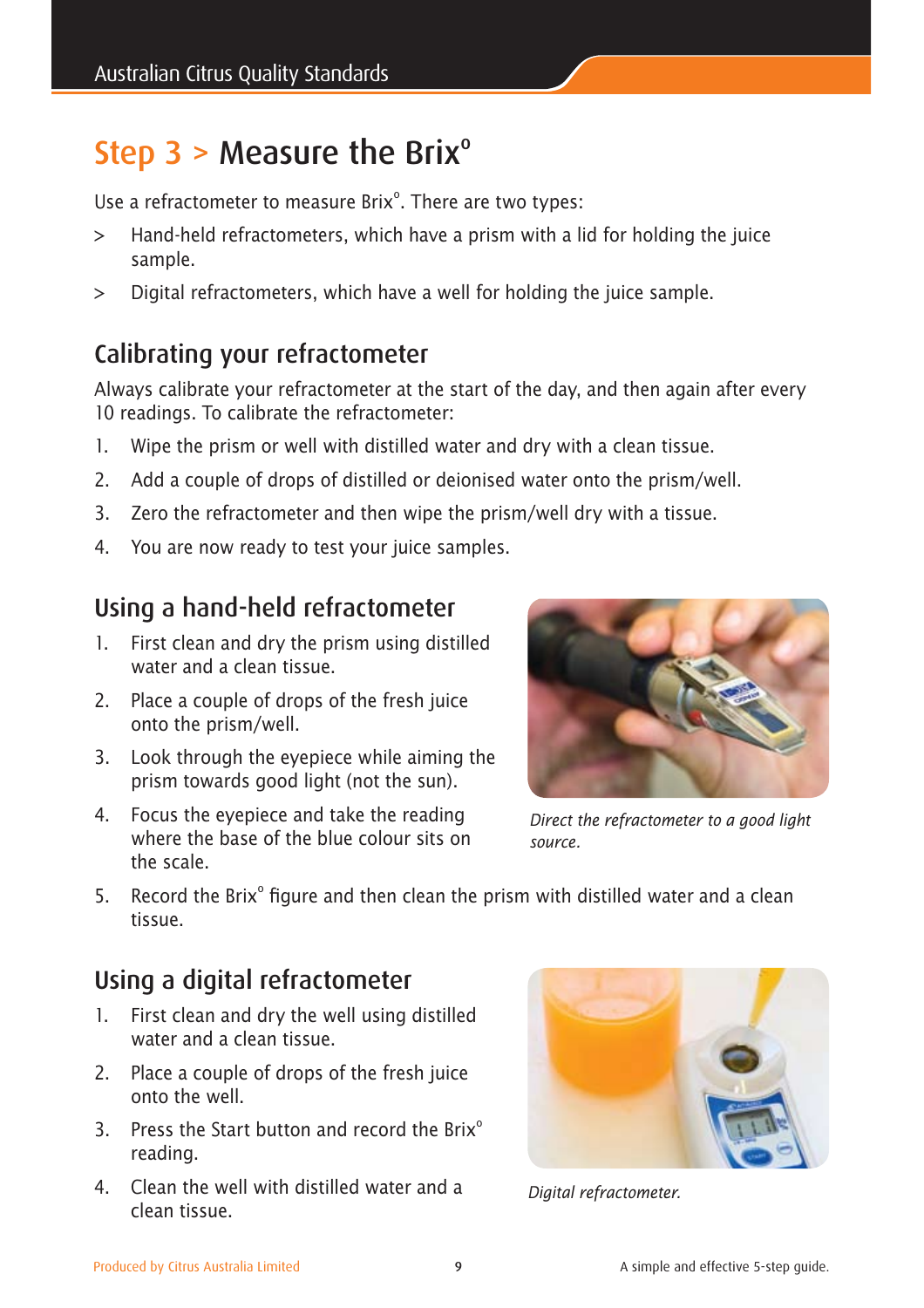# Step  $3 >$  Measure the Brix<sup>o</sup>

Use a refractometer to measure Brix<sup>o</sup>. There are two types:

- > Hand-held refractometers, which have a prism with a lid for holding the juice sample.
- > Digital refractometers, which have a well for holding the juice sample.

## Calibrating your refractometer

Always calibrate your refractometer at the start of the day, and then again after every 10 readings. To calibrate the refractometer:

- 1. Wipe the prism or well with distilled water and dry with a clean tissue.
- 2. Add a couple of drops of distilled or deionised water onto the prism/well.
- 3. Zero the refractometer and then wipe the prism/well dry with a tissue.
- 4. You are now ready to test your juice samples.

### Using a hand-held refractometer

- 1. First clean and dry the prism using distilled water and a clean tissue.
- 2. Place a couple of drops of the fresh juice onto the prism/well.
- 3. Look through the eyepiece while aiming the prism towards good light (not the sun).
- 4. Focus the eyepiece and take the reading where the base of the blue colour sits on the scale.



*Direct the refractometer to a good light source.*

5. Record the Brix $^{\circ}$  figure and then clean the prism with distilled water and a clean tissue.

## Using a digital refractometer

- 1. First clean and dry the well using distilled water and a clean tissue.
- 2. Place a couple of drops of the fresh juice onto the well.
- 3. Press the Start button and record the Brix $^{\circ}$ reading.
- 4. Clean the well with distilled water and a clean tissue.



*Digital refractometer.*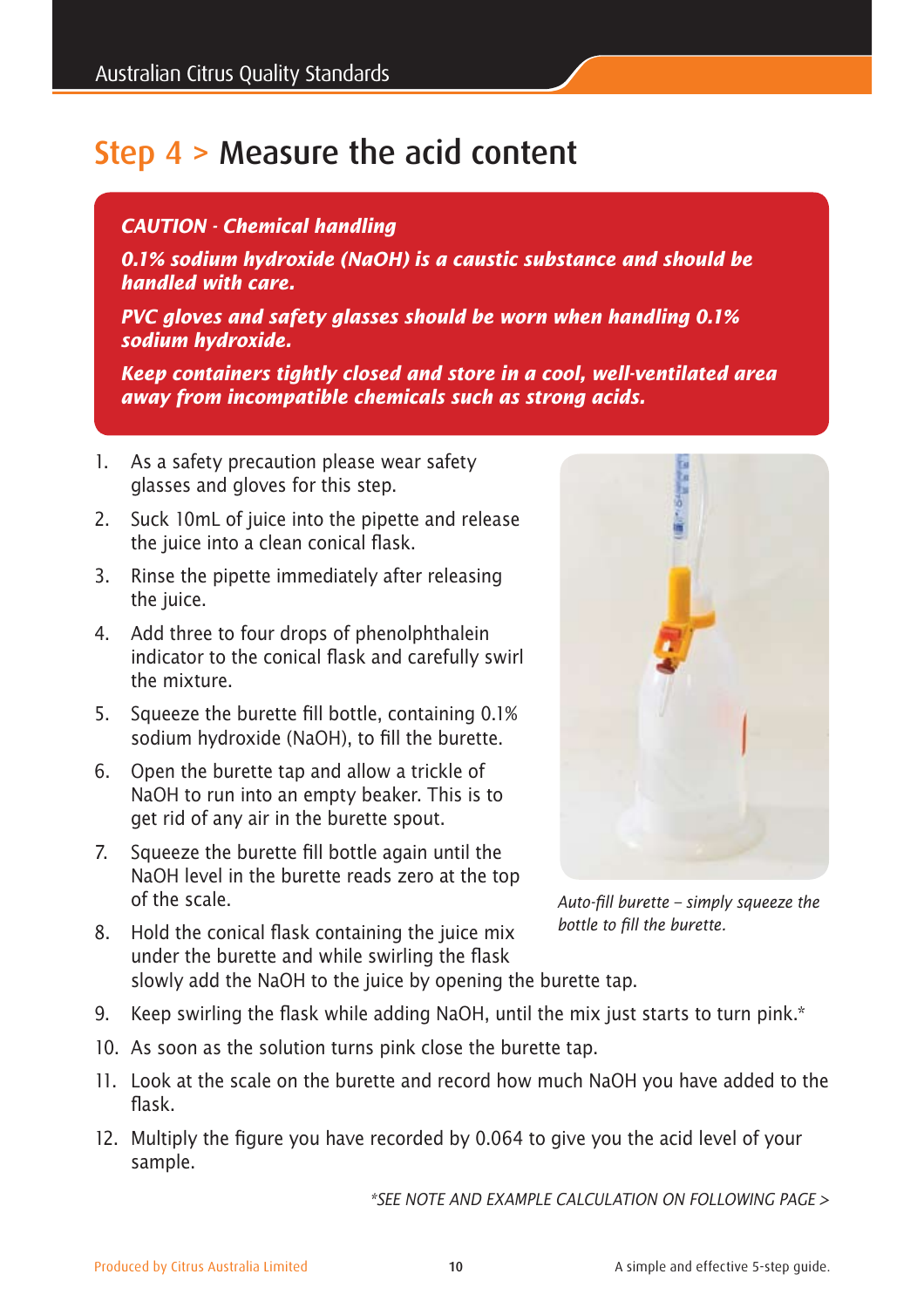# Step 4 > Measure the acid content

#### *CAUTION - Chemical handling*

*0.1% sodium hydroxide (NaOH) is a caustic substance and should be handled with care.* 

*PVC gloves and safety glasses should be worn when handling 0.1% sodium hydroxide.* 

*Keep containers tightly closed and store in a cool, well-ventilated area away from incompatible chemicals such as strong acids.*

- 1. As a safety precaution please wear safety glasses and gloves for this step.
- 2. Suck 10mL of juice into the pipette and release the juice into a clean conical flask.
- 3. Rinse the pipette immediately after releasing the juice.
- 4. Add three to four drops of phenolphthalein indicator to the conical flask and carefully swirl the mixture.
- 5. Squeeze the burette fill bottle, containing 0.1% sodium hydroxide (NaOH), to fill the burette.
- 6. Open the burette tap and allow a trickle of NaOH to run into an empty beaker. This is to get rid of any air in the burette spout.
- 7. Squeeze the burette fill bottle again until the NaOH level in the burette reads zero at the top of the scale.



*Auto-fill burette – simply squeeze the bottle to fill the burette.*

- 8. Hold the conical flask containing the juice mix under the burette and while swirling the flask slowly add the NaOH to the juice by opening the burette tap.
- 9. Keep swirling the flask while adding NaOH, until the mix just starts to turn pink.\*
- 10. As soon as the solution turns pink close the burette tap.
- 11. Look at the scale on the burette and record how much NaOH you have added to the flask.
- 12. Multiply the figure you have recorded by 0.064 to give you the acid level of your sample.

*\*SEE NOTE AND EXAMPLE CALCULATION ON FOLLOWING PAGE >*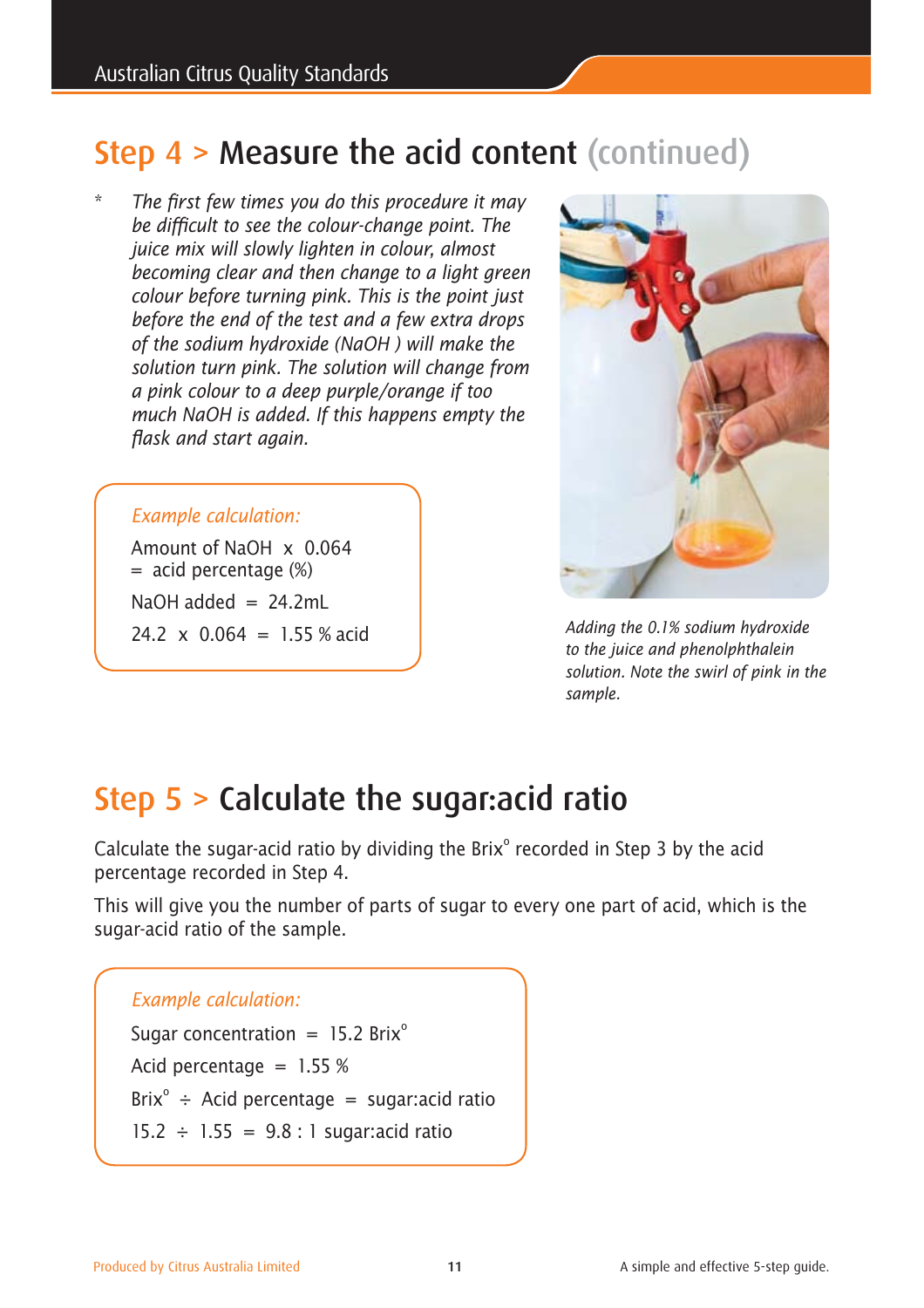# Step 4 > Measure the acid content (continued)

The first few times you do this procedure it may *be difficult to see the colour-change point. The juice mix will slowly lighten in colour, almost becoming clear and then change to a light green colour before turning pink. This is the point just before the end of the test and a few extra drops of the sodium hydroxide (NaOH ) will make the solution turn pink. The solution will change from a pink colour to a deep purple/orange if too much NaOH is added. If this happens empty the flask and start again.*

#### *Example calculation:*

Amount of NaOH x 0.064  $=$  acid percentage  $(\%)$ NaOH added  $= 24.2$ mL 24.2  $\times$  0.064 = 1.55 % acid



*Adding the 0.1% sodium hydroxide to the juice and phenolphthalein solution. Note the swirl of pink in the sample.*

# Step 5 > Calculate the sugar:acid ratio

Calculate the sugar-acid ratio by dividing the Brix $^{\circ}$  recorded in Step 3 by the acid percentage recorded in Step 4.

This will give you the number of parts of sugar to every one part of acid, which is the sugar-acid ratio of the sample.

## *Example calculation:*  Sugar concentration =  $15.2$  Brix<sup>o</sup> Acid percentage  $= 1.55 %$ Brix<sup>o</sup> ÷ Acid percentage = sugar: acid ratio 15.2  $\div$  1.55 = 9.8 : 1 sugar: acid ratio